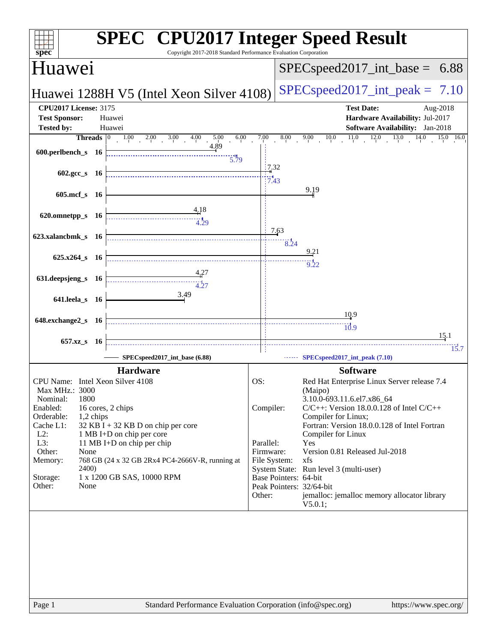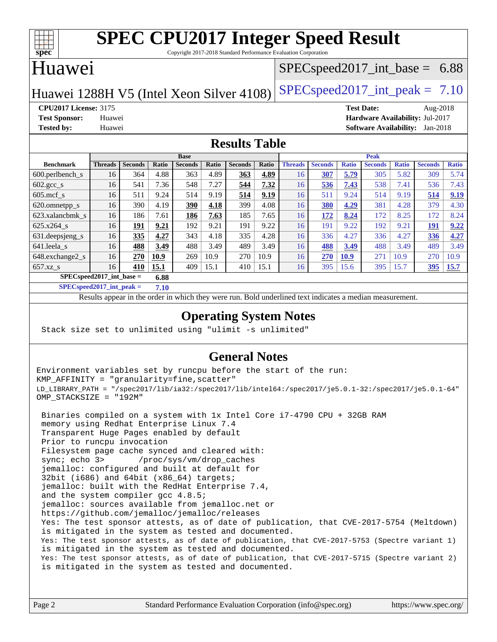

Copyright 2017-2018 Standard Performance Evaluation Corporation

### Huawei

### $SPECspeed2017\_int\_base = 6.88$

Huawei 1288H V5 (Intel Xeon Silver 4108) [SPECspeed2017\\_int\\_peak =](http://www.spec.org/auto/cpu2017/Docs/result-fields.html#SPECspeed2017intpeak)  $7.10$ 

**[CPU2017 License:](http://www.spec.org/auto/cpu2017/Docs/result-fields.html#CPU2017License)** 3175 **[Test Date:](http://www.spec.org/auto/cpu2017/Docs/result-fields.html#TestDate)** Aug-2018 **[Test Sponsor:](http://www.spec.org/auto/cpu2017/Docs/result-fields.html#TestSponsor)** Huawei **[Hardware Availability:](http://www.spec.org/auto/cpu2017/Docs/result-fields.html#HardwareAvailability)** Jul-2017 **[Tested by:](http://www.spec.org/auto/cpu2017/Docs/result-fields.html#Testedby)** Huawei **[Software Availability:](http://www.spec.org/auto/cpu2017/Docs/result-fields.html#SoftwareAvailability)** Jan-2018

### **[Results Table](http://www.spec.org/auto/cpu2017/Docs/result-fields.html#ResultsTable)**

|                                      |                |                |       | <b>Base</b>    |       |                |       | <b>Peak</b>    |                |              |                |              |                |              |
|--------------------------------------|----------------|----------------|-------|----------------|-------|----------------|-------|----------------|----------------|--------------|----------------|--------------|----------------|--------------|
| <b>Benchmark</b>                     | <b>Threads</b> | <b>Seconds</b> | Ratio | <b>Seconds</b> | Ratio | <b>Seconds</b> | Ratio | <b>Threads</b> | <b>Seconds</b> | <b>Ratio</b> | <b>Seconds</b> | <b>Ratio</b> | <b>Seconds</b> | <b>Ratio</b> |
| 600.perlbench s                      | 16             | 364            | 4.88  | 363            | 4.89  | 363            | 4.89  | 16             | 307            | 5.79         | 305            | 5.82         | 309            | 5.74         |
| $602.\text{gcc}\_\text{s}$           | 16             | 541            | 7.36  | 548            | 7.27  | 544            | 7.32  | 16             | 536            | 7.43         | 538            | 7.41         | 536            | 7.43         |
| $605$ .mcf s                         | 16             | 511            | 9.24  | 514            | 9.19  | 514            | 9.19  | 16             | 511            | 9.24         | 514            | 9.19         | 514            | 9.19         |
| 620.omnetpp_s                        | 16             | 390            | 4.19  | <u>390</u>     | 4.18  | 399            | 4.08  | 16             | 380            | 4.29         | 381            | 4.28         | 379            | 4.30         |
| 623.xalancbmk s                      | 16             | 186            | 7.61  | 186            | 7.63  | 185            | 7.65  | 16             | 172            | 8.24         | 172            | 8.25         | 172            | 8.24         |
| 625.x264 s                           | 16             | 191            | 9.21  | 192            | 9.21  | 191            | 9.22  | 16             | 191            | 9.22         | 192            | 9.21         | 191            | 9.22         |
| 631.deepsjeng_s                      | 16             | 335            | 4.27  | 343            | 4.18  | 335            | 4.28  | 16             | 336            | 4.27         | 336            | 4.27         | 336            | 4.27         |
| 641.leela s                          | 16             | 488            | 3.49  | 488            | 3.49  | 489            | 3.49  | 16             | 488            | 3.49         | 488            | 3.49         | 489            | 3.49         |
| 648.exchange2_s                      | 16             | 270            | 10.9  | 269            | 10.9  | 270            | 10.9  | 16             | 270            | 10.9         | 271            | 10.9         | 270            | 10.9         |
| $657.xz$ s                           | 16             | 410            | 15.1  | 409            | 15.1  | 410            | 15.1  | 16             | 395            | 15.6         | 395            | 15.7         | <b>395</b>     | <b>15.7</b>  |
| $SPECspeed2017\_int\_base =$<br>6.88 |                |                |       |                |       |                |       |                |                |              |                |              |                |              |

**[SPECspeed2017\\_int\\_peak =](http://www.spec.org/auto/cpu2017/Docs/result-fields.html#SPECspeed2017intpeak) 7.10**

Results appear in the [order in which they were run.](http://www.spec.org/auto/cpu2017/Docs/result-fields.html#RunOrder) Bold underlined text [indicates a median measurement](http://www.spec.org/auto/cpu2017/Docs/result-fields.html#Median).

### **[Operating System Notes](http://www.spec.org/auto/cpu2017/Docs/result-fields.html#OperatingSystemNotes)**

Stack size set to unlimited using "ulimit -s unlimited"

### **[General Notes](http://www.spec.org/auto/cpu2017/Docs/result-fields.html#GeneralNotes)**

Environment variables set by runcpu before the start of the run: KMP\_AFFINITY = "granularity=fine,scatter" LD\_LIBRARY\_PATH = "/spec2017/lib/ia32:/spec2017/lib/intel64:/spec2017/je5.0.1-32:/spec2017/je5.0.1-64" OMP\_STACKSIZE = "192M"

 Binaries compiled on a system with 1x Intel Core i7-4790 CPU + 32GB RAM memory using Redhat Enterprise Linux 7.4 Transparent Huge Pages enabled by default Prior to runcpu invocation Filesystem page cache synced and cleared with: sync; echo 3> /proc/sys/vm/drop\_caches jemalloc: configured and built at default for 32bit (i686) and 64bit (x86\_64) targets; jemalloc: built with the RedHat Enterprise 7.4, and the system compiler gcc 4.8.5; jemalloc: sources available from jemalloc.net or <https://github.com/jemalloc/jemalloc/releases> Yes: The test sponsor attests, as of date of publication, that CVE-2017-5754 (Meltdown) is mitigated in the system as tested and documented. Yes: The test sponsor attests, as of date of publication, that CVE-2017-5753 (Spectre variant 1) is mitigated in the system as tested and documented. Yes: The test sponsor attests, as of date of publication, that CVE-2017-5715 (Spectre variant 2) is mitigated in the system as tested and documented.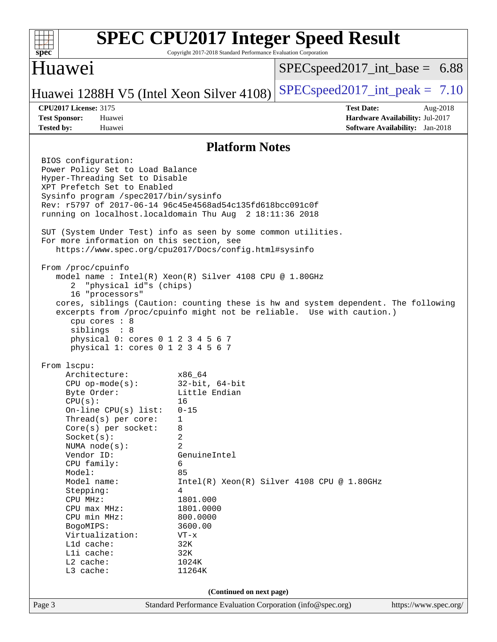| SI<br>ne |  |  |  |  |  |  |  |
|----------|--|--|--|--|--|--|--|

Copyright 2017-2018 Standard Performance Evaluation Corporation

### Huawei

 $SPECspeed2017\_int\_base = 6.88$ 

Huawei 1288H V5 (Intel Xeon Silver 4108) [SPECspeed2017\\_int\\_peak =](http://www.spec.org/auto/cpu2017/Docs/result-fields.html#SPECspeed2017intpeak)  $7.10$ 

**[CPU2017 License:](http://www.spec.org/auto/cpu2017/Docs/result-fields.html#CPU2017License)** 3175 **[Test Date:](http://www.spec.org/auto/cpu2017/Docs/result-fields.html#TestDate)** Aug-2018 **[Test Sponsor:](http://www.spec.org/auto/cpu2017/Docs/result-fields.html#TestSponsor)** Huawei **[Hardware Availability:](http://www.spec.org/auto/cpu2017/Docs/result-fields.html#HardwareAvailability)** Jul-2017 **[Tested by:](http://www.spec.org/auto/cpu2017/Docs/result-fields.html#Testedby)** Huawei **[Software Availability:](http://www.spec.org/auto/cpu2017/Docs/result-fields.html#SoftwareAvailability)** Jan-2018

### **[Platform Notes](http://www.spec.org/auto/cpu2017/Docs/result-fields.html#PlatformNotes)**

Page 3 Standard Performance Evaluation Corporation [\(info@spec.org\)](mailto:info@spec.org) <https://www.spec.org/> BIOS configuration: Power Policy Set to Load Balance Hyper-Threading Set to Disable XPT Prefetch Set to Enabled Sysinfo program /spec2017/bin/sysinfo Rev: r5797 of 2017-06-14 96c45e4568ad54c135fd618bcc091c0f running on localhost.localdomain Thu Aug 2 18:11:36 2018 SUT (System Under Test) info as seen by some common utilities. For more information on this section, see <https://www.spec.org/cpu2017/Docs/config.html#sysinfo> From /proc/cpuinfo model name : Intel(R) Xeon(R) Silver 4108 CPU @ 1.80GHz 2 "physical id"s (chips) 16 "processors" cores, siblings (Caution: counting these is hw and system dependent. The following excerpts from /proc/cpuinfo might not be reliable. Use with caution.) cpu cores : 8 siblings : 8 physical 0: cores 0 1 2 3 4 5 6 7 physical 1: cores 0 1 2 3 4 5 6 7 From lscpu: Architecture: x86\_64 CPU op-mode(s): 32-bit, 64-bit Byte Order: Little Endian  $CPU(s):$  16 On-line CPU(s) list: 0-15 Thread(s) per core: 1 Core(s) per socket: 8 Socket(s): 2 NUMA node(s): 2 Vendor ID: GenuineIntel CPU family: 6 Model: 85 Model name:  $Intel(R)$  Xeon(R) Silver 4108 CPU @ 1.80GHz Stepping: 4 CPU MHz: 1801.000 CPU max MHz: 1801.0000 CPU min MHz: 800.0000 BogoMIPS: 3600.00 Virtualization: VT-x L1d cache: 32K<br>
L1i cache: 32K  $L1i$  cache: L2 cache: 1024K L3 cache: 11264K **(Continued on next page)**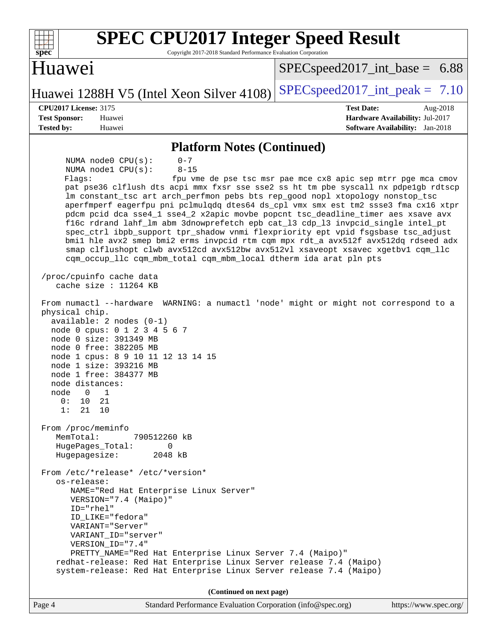| <b>SPEC CPU2017 Integer Speed Result</b><br>spec <sup>®</sup><br>Copyright 2017-2018 Standard Performance Evaluation Corporation                                                                                                                                                                                                                                                                                                                                                                                                                                                                                                                                                                                                                                                                                                                                                                                                                                                                                                                                                                                                                                                                                                                                                                                                                                                                                                                                                                                                                                                                                                                                                      |                                                                                                                               |
|---------------------------------------------------------------------------------------------------------------------------------------------------------------------------------------------------------------------------------------------------------------------------------------------------------------------------------------------------------------------------------------------------------------------------------------------------------------------------------------------------------------------------------------------------------------------------------------------------------------------------------------------------------------------------------------------------------------------------------------------------------------------------------------------------------------------------------------------------------------------------------------------------------------------------------------------------------------------------------------------------------------------------------------------------------------------------------------------------------------------------------------------------------------------------------------------------------------------------------------------------------------------------------------------------------------------------------------------------------------------------------------------------------------------------------------------------------------------------------------------------------------------------------------------------------------------------------------------------------------------------------------------------------------------------------------|-------------------------------------------------------------------------------------------------------------------------------|
| Huawei                                                                                                                                                                                                                                                                                                                                                                                                                                                                                                                                                                                                                                                                                                                                                                                                                                                                                                                                                                                                                                                                                                                                                                                                                                                                                                                                                                                                                                                                                                                                                                                                                                                                                | $SPEC speed2017\_int\_base = 6.88$                                                                                            |
| Huawei 1288H V5 (Intel Xeon Silver 4108)                                                                                                                                                                                                                                                                                                                                                                                                                                                                                                                                                                                                                                                                                                                                                                                                                                                                                                                                                                                                                                                                                                                                                                                                                                                                                                                                                                                                                                                                                                                                                                                                                                              | $SPEC speed2017\_int\_peak = 7.10$                                                                                            |
| <b>CPU2017 License: 3175</b>                                                                                                                                                                                                                                                                                                                                                                                                                                                                                                                                                                                                                                                                                                                                                                                                                                                                                                                                                                                                                                                                                                                                                                                                                                                                                                                                                                                                                                                                                                                                                                                                                                                          | <b>Test Date:</b><br>Aug-2018                                                                                                 |
| <b>Test Sponsor:</b><br>Huawei                                                                                                                                                                                                                                                                                                                                                                                                                                                                                                                                                                                                                                                                                                                                                                                                                                                                                                                                                                                                                                                                                                                                                                                                                                                                                                                                                                                                                                                                                                                                                                                                                                                        | Hardware Availability: Jul-2017                                                                                               |
| <b>Tested by:</b><br>Huawei                                                                                                                                                                                                                                                                                                                                                                                                                                                                                                                                                                                                                                                                                                                                                                                                                                                                                                                                                                                                                                                                                                                                                                                                                                                                                                                                                                                                                                                                                                                                                                                                                                                           | <b>Software Availability:</b> Jan-2018                                                                                        |
| <b>Platform Notes (Continued)</b><br>NUMA node0 CPU(s):<br>$0 - 7$<br>NUMA nodel CPU(s):<br>$8 - 15$<br>Flags:<br>pat pse36 clflush dts acpi mmx fxsr sse sse2 ss ht tm pbe syscall nx pdpe1gb rdtscp<br>lm constant_tsc art arch_perfmon pebs bts rep_good nopl xtopology nonstop_tsc<br>aperfmperf eagerfpu pni pclmulqdq dtes64 ds_cpl vmx smx est tm2 ssse3 fma cx16 xtpr<br>pdcm pcid dca sse4_1 sse4_2 x2apic movbe popcnt tsc_deadline_timer aes xsave avx<br>f16c rdrand lahf_lm abm 3dnowprefetch epb cat_13 cdp_13 invpcid_single intel_pt<br>spec_ctrl ibpb_support tpr_shadow vnmi flexpriority ept vpid fsgsbase tsc_adjust<br>bmil hle avx2 smep bmi2 erms invpcid rtm cqm mpx rdt_a avx512f avx512dq rdseed adx<br>smap clflushopt clwb avx512cd avx512bw avx512vl xsaveopt xsavec xgetbvl cqm_llc<br>cqm_occup_llc cqm_mbm_total cqm_mbm_local dtherm ida arat pln pts<br>/proc/cpuinfo cache data<br>cache size : $11264$ KB<br>From numactl --hardware<br>physical chip.<br>$available: 2 nodes (0-1)$<br>node 0 cpus: 0 1 2 3 4 5 6 7<br>node 0 size: 391349 MB<br>node 0 free: 382205 MB<br>node 1 cpus: 8 9 10 11 12 13 14 15<br>node 1 size: 393216 MB<br>node 1 free: 384377 MB<br>node distances:<br>node<br>U<br>ı<br>0:<br>10<br>21<br>1:<br>21<br>10<br>From /proc/meminfo<br>MemTotal:<br>790512260 kB<br>HugePages_Total:<br>$\Omega$<br>Hugepagesize:<br>2048 kB<br>From /etc/*release* /etc/*version*<br>os-release:<br>NAME="Red Hat Enterprise Linux Server"<br>VERSION="7.4 (Maipo)"<br>$ID="rhe1"$<br>ID_LIKE="fedora"<br>VARIANT="Server"<br>VARIANT_ID="server"<br>VERSION_ID="7.4"<br>PRETTY_NAME="Red Hat Enterprise Linux Server 7.4 (Maipo)" | fpu vme de pse tsc msr pae mce cx8 apic sep mtrr pge mca cmov<br>WARNING: a numactl 'node' might or might not correspond to a |
| redhat-release: Red Hat Enterprise Linux Server release 7.4 (Maipo)                                                                                                                                                                                                                                                                                                                                                                                                                                                                                                                                                                                                                                                                                                                                                                                                                                                                                                                                                                                                                                                                                                                                                                                                                                                                                                                                                                                                                                                                                                                                                                                                                   |                                                                                                                               |
| system-release: Red Hat Enterprise Linux Server release 7.4 (Maipo)                                                                                                                                                                                                                                                                                                                                                                                                                                                                                                                                                                                                                                                                                                                                                                                                                                                                                                                                                                                                                                                                                                                                                                                                                                                                                                                                                                                                                                                                                                                                                                                                                   |                                                                                                                               |
| (Continued on next page)                                                                                                                                                                                                                                                                                                                                                                                                                                                                                                                                                                                                                                                                                                                                                                                                                                                                                                                                                                                                                                                                                                                                                                                                                                                                                                                                                                                                                                                                                                                                                                                                                                                              |                                                                                                                               |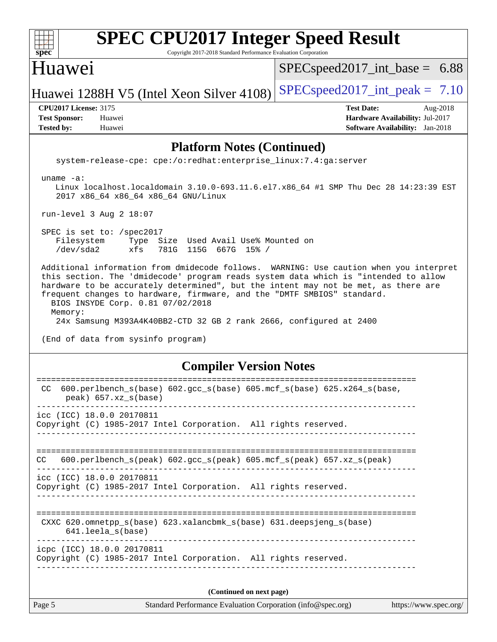| <b>SPEC CPU2017 Integer Speed Result</b>                                                                                                                                                                                                                                                                                                                                            |                                        |
|-------------------------------------------------------------------------------------------------------------------------------------------------------------------------------------------------------------------------------------------------------------------------------------------------------------------------------------------------------------------------------------|----------------------------------------|
| spec <sup>®</sup><br>Copyright 2017-2018 Standard Performance Evaluation Corporation                                                                                                                                                                                                                                                                                                |                                        |
| Huawei                                                                                                                                                                                                                                                                                                                                                                              | $SPEC speed2017\_int\_base = 6.88$     |
| Huawei 1288H V5 (Intel Xeon Silver 4108)                                                                                                                                                                                                                                                                                                                                            | $SPEC speed2017\_int\_peak = 7.10$     |
| <b>CPU2017 License: 3175</b>                                                                                                                                                                                                                                                                                                                                                        | <b>Test Date:</b><br>Aug-2018          |
| <b>Test Sponsor:</b><br>Huawei                                                                                                                                                                                                                                                                                                                                                      | Hardware Availability: Jul-2017        |
| <b>Tested by:</b><br>Huawei                                                                                                                                                                                                                                                                                                                                                         | <b>Software Availability:</b> Jan-2018 |
| <b>Platform Notes (Continued)</b>                                                                                                                                                                                                                                                                                                                                                   |                                        |
| system-release-cpe: cpe:/o:redhat:enterprise_linux:7.4:ga:server                                                                                                                                                                                                                                                                                                                    |                                        |
| uname $-a$ :<br>Linux localhost.localdomain 3.10.0-693.11.6.el7.x86_64 #1 SMP Thu Dec 28 14:23:39 EST<br>2017 x86_64 x86_64 x86_64 GNU/Linux                                                                                                                                                                                                                                        |                                        |
| run-level 3 Aug 2 18:07                                                                                                                                                                                                                                                                                                                                                             |                                        |
| SPEC is set to: /spec2017<br>Type Size Used Avail Use% Mounted on<br>Filesystem<br>/dev/sda2<br>xfs<br>781G 115G 667G 15% /                                                                                                                                                                                                                                                         |                                        |
| Additional information from dmidecode follows. WARNING: Use caution when you interpret<br>this section. The 'dmidecode' program reads system data which is "intended to allow<br>hardware to be accurately determined", but the intent may not be met, as there are<br>frequent changes to hardware, firmware, and the "DMTF SMBIOS" standard.<br>BIOS INSYDE Corp. 0.81 07/02/2018 |                                        |
| Memory:<br>24x Samsung M393A4K40BB2-CTD 32 GB 2 rank 2666, configured at 2400                                                                                                                                                                                                                                                                                                       |                                        |
| (End of data from sysinfo program)                                                                                                                                                                                                                                                                                                                                                  |                                        |
| <b>Compiler Version Notes</b>                                                                                                                                                                                                                                                                                                                                                       |                                        |
| 600.perlbench_s(base) 602.gcc_s(base) 605.mcf_s(base) 625.x264_s(base,<br>CC<br>peak) 657.xz_s(base)                                                                                                                                                                                                                                                                                |                                        |
| icc (ICC) 18.0.0 20170811<br>Copyright (C) 1985-2017 Intel Corporation. All rights reserved.                                                                                                                                                                                                                                                                                        |                                        |
| 600.perlbench_s(peak) 602.gcc_s(peak) 605.mcf_s(peak) 657.xz_s(peak)<br>CC                                                                                                                                                                                                                                                                                                          |                                        |
| icc (ICC) 18.0.0 20170811                                                                                                                                                                                                                                                                                                                                                           |                                        |

Copyright (C) 1985-2017 Intel Corporation. All rights reserved. ------------------------------------------------------------------------------

============================================================================== CXXC 620.omnetpp\_s(base) 623.xalancbmk\_s(base) 631.deepsjeng\_s(base) 641.leela\_s(base)

----------------------------------------------------------------------------- icpc (ICC) 18.0.0 20170811 Copyright (C) 1985-2017 Intel Corporation. All rights reserved. ------------------------------------------------------------------------------

**(Continued on next page)**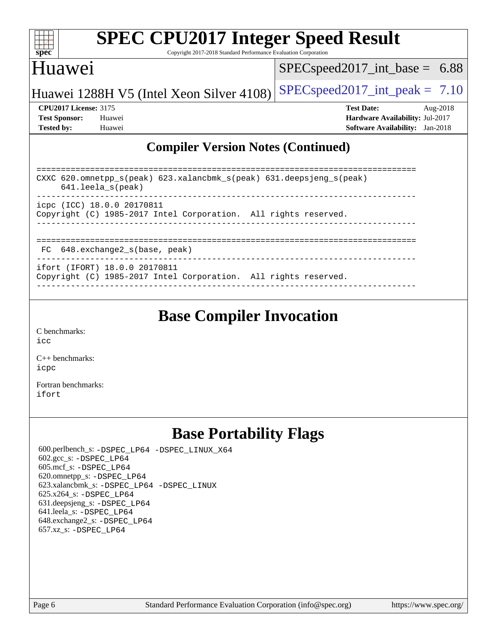| s<br>e<br>Е<br>z |  |  |  |  |  |  |
|------------------|--|--|--|--|--|--|

Copyright 2017-2018 Standard Performance Evaluation Corporation

## Huawei

 $SPEC speed2017\_int\_base = 6.88$ 

Huawei 1288H V5 (Intel Xeon Silver  $4108$ ) [SPECspeed2017\\_int\\_peak =](http://www.spec.org/auto/cpu2017/Docs/result-fields.html#SPECspeed2017intpeak) 7.10

**[CPU2017 License:](http://www.spec.org/auto/cpu2017/Docs/result-fields.html#CPU2017License)** 3175 **[Test Date:](http://www.spec.org/auto/cpu2017/Docs/result-fields.html#TestDate)** Aug-2018 **[Test Sponsor:](http://www.spec.org/auto/cpu2017/Docs/result-fields.html#TestSponsor)** Huawei **[Hardware Availability:](http://www.spec.org/auto/cpu2017/Docs/result-fields.html#HardwareAvailability)** Jul-2017 **[Tested by:](http://www.spec.org/auto/cpu2017/Docs/result-fields.html#Testedby)** Huawei **[Software Availability:](http://www.spec.org/auto/cpu2017/Docs/result-fields.html#SoftwareAvailability)** Jan-2018

### **[Compiler Version Notes \(Continued\)](http://www.spec.org/auto/cpu2017/Docs/result-fields.html#CompilerVersionNotes)**

| CXXC 620.omnetpp $s(\text{peak})$ 623.xalancbmk $s(\text{peak})$ 631.deepsjeng $s(\text{peak})$<br>$641.$ leela $s$ (peak) |
|----------------------------------------------------------------------------------------------------------------------------|
| icpc (ICC) 18.0.0 20170811<br>Copyright (C) 1985-2017 Intel Corporation. All rights reserved.                              |
| FC 648.exchange2 s(base, peak)                                                                                             |
| ifort (IFORT) 18.0.0 20170811<br>Copyright (C) 1985-2017 Intel Corporation. All rights reserved.                           |

------------------------------------------------------------------------------

### **[Base Compiler Invocation](http://www.spec.org/auto/cpu2017/Docs/result-fields.html#BaseCompilerInvocation)**

[C benchmarks](http://www.spec.org/auto/cpu2017/Docs/result-fields.html#Cbenchmarks): [icc](http://www.spec.org/cpu2017/results/res2018q3/cpu2017-20180808-08207.flags.html#user_CCbase_intel_icc_18.0_66fc1ee009f7361af1fbd72ca7dcefbb700085f36577c54f309893dd4ec40d12360134090235512931783d35fd58c0460139e722d5067c5574d8eaf2b3e37e92)

[C++ benchmarks:](http://www.spec.org/auto/cpu2017/Docs/result-fields.html#CXXbenchmarks) [icpc](http://www.spec.org/cpu2017/results/res2018q3/cpu2017-20180808-08207.flags.html#user_CXXbase_intel_icpc_18.0_c510b6838c7f56d33e37e94d029a35b4a7bccf4766a728ee175e80a419847e808290a9b78be685c44ab727ea267ec2f070ec5dc83b407c0218cded6866a35d07)

[Fortran benchmarks](http://www.spec.org/auto/cpu2017/Docs/result-fields.html#Fortranbenchmarks): [ifort](http://www.spec.org/cpu2017/results/res2018q3/cpu2017-20180808-08207.flags.html#user_FCbase_intel_ifort_18.0_8111460550e3ca792625aed983ce982f94888b8b503583aa7ba2b8303487b4d8a21a13e7191a45c5fd58ff318f48f9492884d4413fa793fd88dd292cad7027ca)

### **[Base Portability Flags](http://www.spec.org/auto/cpu2017/Docs/result-fields.html#BasePortabilityFlags)**

 600.perlbench\_s: [-DSPEC\\_LP64](http://www.spec.org/cpu2017/results/res2018q3/cpu2017-20180808-08207.flags.html#b600.perlbench_s_basePORTABILITY_DSPEC_LP64) [-DSPEC\\_LINUX\\_X64](http://www.spec.org/cpu2017/results/res2018q3/cpu2017-20180808-08207.flags.html#b600.perlbench_s_baseCPORTABILITY_DSPEC_LINUX_X64) 602.gcc\_s: [-DSPEC\\_LP64](http://www.spec.org/cpu2017/results/res2018q3/cpu2017-20180808-08207.flags.html#suite_basePORTABILITY602_gcc_s_DSPEC_LP64) 605.mcf\_s: [-DSPEC\\_LP64](http://www.spec.org/cpu2017/results/res2018q3/cpu2017-20180808-08207.flags.html#suite_basePORTABILITY605_mcf_s_DSPEC_LP64) 620.omnetpp\_s: [-DSPEC\\_LP64](http://www.spec.org/cpu2017/results/res2018q3/cpu2017-20180808-08207.flags.html#suite_basePORTABILITY620_omnetpp_s_DSPEC_LP64) 623.xalancbmk\_s: [-DSPEC\\_LP64](http://www.spec.org/cpu2017/results/res2018q3/cpu2017-20180808-08207.flags.html#suite_basePORTABILITY623_xalancbmk_s_DSPEC_LP64) [-DSPEC\\_LINUX](http://www.spec.org/cpu2017/results/res2018q3/cpu2017-20180808-08207.flags.html#b623.xalancbmk_s_baseCXXPORTABILITY_DSPEC_LINUX) 625.x264\_s: [-DSPEC\\_LP64](http://www.spec.org/cpu2017/results/res2018q3/cpu2017-20180808-08207.flags.html#suite_basePORTABILITY625_x264_s_DSPEC_LP64) 631.deepsjeng\_s: [-DSPEC\\_LP64](http://www.spec.org/cpu2017/results/res2018q3/cpu2017-20180808-08207.flags.html#suite_basePORTABILITY631_deepsjeng_s_DSPEC_LP64) 641.leela\_s: [-DSPEC\\_LP64](http://www.spec.org/cpu2017/results/res2018q3/cpu2017-20180808-08207.flags.html#suite_basePORTABILITY641_leela_s_DSPEC_LP64) 648.exchange2\_s: [-DSPEC\\_LP64](http://www.spec.org/cpu2017/results/res2018q3/cpu2017-20180808-08207.flags.html#suite_basePORTABILITY648_exchange2_s_DSPEC_LP64) 657.xz\_s: [-DSPEC\\_LP64](http://www.spec.org/cpu2017/results/res2018q3/cpu2017-20180808-08207.flags.html#suite_basePORTABILITY657_xz_s_DSPEC_LP64)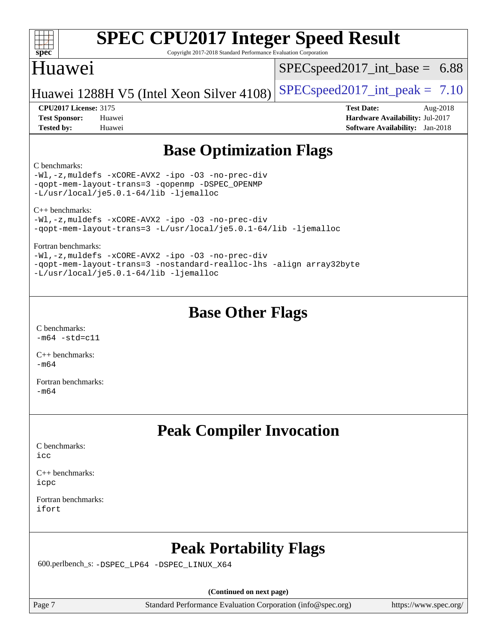| s<br>e<br>Е |  |  |  |  |  |  |  |
|-------------|--|--|--|--|--|--|--|

Copyright 2017-2018 Standard Performance Evaluation Corporation

## Huawei

 $SPECspeed2017\_int\_base = 6.88$ 

Huawei 1288H V5 (Intel Xeon Silver 4108) [SPECspeed2017\\_int\\_peak =](http://www.spec.org/auto/cpu2017/Docs/result-fields.html#SPECspeed2017intpeak)  $7.10$ 

**[CPU2017 License:](http://www.spec.org/auto/cpu2017/Docs/result-fields.html#CPU2017License)** 3175 **[Test Date:](http://www.spec.org/auto/cpu2017/Docs/result-fields.html#TestDate)** Aug-2018 **[Test Sponsor:](http://www.spec.org/auto/cpu2017/Docs/result-fields.html#TestSponsor)** Huawei **[Hardware Availability:](http://www.spec.org/auto/cpu2017/Docs/result-fields.html#HardwareAvailability)** Jul-2017 **[Tested by:](http://www.spec.org/auto/cpu2017/Docs/result-fields.html#Testedby)** Huawei **[Software Availability:](http://www.spec.org/auto/cpu2017/Docs/result-fields.html#SoftwareAvailability)** Jan-2018

## **[Base Optimization Flags](http://www.spec.org/auto/cpu2017/Docs/result-fields.html#BaseOptimizationFlags)**

### [C benchmarks](http://www.spec.org/auto/cpu2017/Docs/result-fields.html#Cbenchmarks):

[-Wl,-z,muldefs](http://www.spec.org/cpu2017/results/res2018q3/cpu2017-20180808-08207.flags.html#user_CCbase_link_force_multiple1_b4cbdb97b34bdee9ceefcfe54f4c8ea74255f0b02a4b23e853cdb0e18eb4525ac79b5a88067c842dd0ee6996c24547a27a4b99331201badda8798ef8a743f577) [-xCORE-AVX2](http://www.spec.org/cpu2017/results/res2018q3/cpu2017-20180808-08207.flags.html#user_CCbase_f-xCORE-AVX2) [-ipo](http://www.spec.org/cpu2017/results/res2018q3/cpu2017-20180808-08207.flags.html#user_CCbase_f-ipo) [-O3](http://www.spec.org/cpu2017/results/res2018q3/cpu2017-20180808-08207.flags.html#user_CCbase_f-O3) [-no-prec-div](http://www.spec.org/cpu2017/results/res2018q3/cpu2017-20180808-08207.flags.html#user_CCbase_f-no-prec-div) [-qopt-mem-layout-trans=3](http://www.spec.org/cpu2017/results/res2018q3/cpu2017-20180808-08207.flags.html#user_CCbase_f-qopt-mem-layout-trans_de80db37974c74b1f0e20d883f0b675c88c3b01e9d123adea9b28688d64333345fb62bc4a798493513fdb68f60282f9a726aa07f478b2f7113531aecce732043) [-qopenmp](http://www.spec.org/cpu2017/results/res2018q3/cpu2017-20180808-08207.flags.html#user_CCbase_qopenmp_16be0c44f24f464004c6784a7acb94aca937f053568ce72f94b139a11c7c168634a55f6653758ddd83bcf7b8463e8028bb0b48b77bcddc6b78d5d95bb1df2967) [-DSPEC\\_OPENMP](http://www.spec.org/cpu2017/results/res2018q3/cpu2017-20180808-08207.flags.html#suite_CCbase_DSPEC_OPENMP) [-L/usr/local/je5.0.1-64/lib](http://www.spec.org/cpu2017/results/res2018q3/cpu2017-20180808-08207.flags.html#user_CCbase_jemalloc_link_path64_4b10a636b7bce113509b17f3bd0d6226c5fb2346b9178c2d0232c14f04ab830f976640479e5c33dc2bcbbdad86ecfb6634cbbd4418746f06f368b512fced5394) [-ljemalloc](http://www.spec.org/cpu2017/results/res2018q3/cpu2017-20180808-08207.flags.html#user_CCbase_jemalloc_link_lib_d1249b907c500fa1c0672f44f562e3d0f79738ae9e3c4a9c376d49f265a04b9c99b167ecedbf6711b3085be911c67ff61f150a17b3472be731631ba4d0471706)

[C++ benchmarks](http://www.spec.org/auto/cpu2017/Docs/result-fields.html#CXXbenchmarks):

[-Wl,-z,muldefs](http://www.spec.org/cpu2017/results/res2018q3/cpu2017-20180808-08207.flags.html#user_CXXbase_link_force_multiple1_b4cbdb97b34bdee9ceefcfe54f4c8ea74255f0b02a4b23e853cdb0e18eb4525ac79b5a88067c842dd0ee6996c24547a27a4b99331201badda8798ef8a743f577) [-xCORE-AVX2](http://www.spec.org/cpu2017/results/res2018q3/cpu2017-20180808-08207.flags.html#user_CXXbase_f-xCORE-AVX2) [-ipo](http://www.spec.org/cpu2017/results/res2018q3/cpu2017-20180808-08207.flags.html#user_CXXbase_f-ipo) [-O3](http://www.spec.org/cpu2017/results/res2018q3/cpu2017-20180808-08207.flags.html#user_CXXbase_f-O3) [-no-prec-div](http://www.spec.org/cpu2017/results/res2018q3/cpu2017-20180808-08207.flags.html#user_CXXbase_f-no-prec-div) [-qopt-mem-layout-trans=3](http://www.spec.org/cpu2017/results/res2018q3/cpu2017-20180808-08207.flags.html#user_CXXbase_f-qopt-mem-layout-trans_de80db37974c74b1f0e20d883f0b675c88c3b01e9d123adea9b28688d64333345fb62bc4a798493513fdb68f60282f9a726aa07f478b2f7113531aecce732043) [-L/usr/local/je5.0.1-64/lib](http://www.spec.org/cpu2017/results/res2018q3/cpu2017-20180808-08207.flags.html#user_CXXbase_jemalloc_link_path64_4b10a636b7bce113509b17f3bd0d6226c5fb2346b9178c2d0232c14f04ab830f976640479e5c33dc2bcbbdad86ecfb6634cbbd4418746f06f368b512fced5394) [-ljemalloc](http://www.spec.org/cpu2017/results/res2018q3/cpu2017-20180808-08207.flags.html#user_CXXbase_jemalloc_link_lib_d1249b907c500fa1c0672f44f562e3d0f79738ae9e3c4a9c376d49f265a04b9c99b167ecedbf6711b3085be911c67ff61f150a17b3472be731631ba4d0471706)

[Fortran benchmarks:](http://www.spec.org/auto/cpu2017/Docs/result-fields.html#Fortranbenchmarks)

[-Wl,-z,muldefs](http://www.spec.org/cpu2017/results/res2018q3/cpu2017-20180808-08207.flags.html#user_FCbase_link_force_multiple1_b4cbdb97b34bdee9ceefcfe54f4c8ea74255f0b02a4b23e853cdb0e18eb4525ac79b5a88067c842dd0ee6996c24547a27a4b99331201badda8798ef8a743f577) [-xCORE-AVX2](http://www.spec.org/cpu2017/results/res2018q3/cpu2017-20180808-08207.flags.html#user_FCbase_f-xCORE-AVX2) [-ipo](http://www.spec.org/cpu2017/results/res2018q3/cpu2017-20180808-08207.flags.html#user_FCbase_f-ipo) [-O3](http://www.spec.org/cpu2017/results/res2018q3/cpu2017-20180808-08207.flags.html#user_FCbase_f-O3) [-no-prec-div](http://www.spec.org/cpu2017/results/res2018q3/cpu2017-20180808-08207.flags.html#user_FCbase_f-no-prec-div) [-qopt-mem-layout-trans=3](http://www.spec.org/cpu2017/results/res2018q3/cpu2017-20180808-08207.flags.html#user_FCbase_f-qopt-mem-layout-trans_de80db37974c74b1f0e20d883f0b675c88c3b01e9d123adea9b28688d64333345fb62bc4a798493513fdb68f60282f9a726aa07f478b2f7113531aecce732043) [-nostandard-realloc-lhs](http://www.spec.org/cpu2017/results/res2018q3/cpu2017-20180808-08207.flags.html#user_FCbase_f_2003_std_realloc_82b4557e90729c0f113870c07e44d33d6f5a304b4f63d4c15d2d0f1fab99f5daaed73bdb9275d9ae411527f28b936061aa8b9c8f2d63842963b95c9dd6426b8a) [-align array32byte](http://www.spec.org/cpu2017/results/res2018q3/cpu2017-20180808-08207.flags.html#user_FCbase_align_array32byte_b982fe038af199962ba9a80c053b8342c548c85b40b8e86eb3cc33dee0d7986a4af373ac2d51c3f7cf710a18d62fdce2948f201cd044323541f22fc0fffc51b6) [-L/usr/local/je5.0.1-64/lib](http://www.spec.org/cpu2017/results/res2018q3/cpu2017-20180808-08207.flags.html#user_FCbase_jemalloc_link_path64_4b10a636b7bce113509b17f3bd0d6226c5fb2346b9178c2d0232c14f04ab830f976640479e5c33dc2bcbbdad86ecfb6634cbbd4418746f06f368b512fced5394) [-ljemalloc](http://www.spec.org/cpu2017/results/res2018q3/cpu2017-20180808-08207.flags.html#user_FCbase_jemalloc_link_lib_d1249b907c500fa1c0672f44f562e3d0f79738ae9e3c4a9c376d49f265a04b9c99b167ecedbf6711b3085be911c67ff61f150a17b3472be731631ba4d0471706)

## **[Base Other Flags](http://www.spec.org/auto/cpu2017/Docs/result-fields.html#BaseOtherFlags)**

[C benchmarks](http://www.spec.org/auto/cpu2017/Docs/result-fields.html#Cbenchmarks):  $-m64$   $-std=cl1$ 

[C++ benchmarks:](http://www.spec.org/auto/cpu2017/Docs/result-fields.html#CXXbenchmarks)  $-m64$ 

[Fortran benchmarks](http://www.spec.org/auto/cpu2017/Docs/result-fields.html#Fortranbenchmarks): [-m64](http://www.spec.org/cpu2017/results/res2018q3/cpu2017-20180808-08207.flags.html#user_FCbase_intel_intel64_18.0_af43caccfc8ded86e7699f2159af6efc7655f51387b94da716254467f3c01020a5059329e2569e4053f409e7c9202a7efc638f7a6d1ffb3f52dea4a3e31d82ab)

### **[Peak Compiler Invocation](http://www.spec.org/auto/cpu2017/Docs/result-fields.html#PeakCompilerInvocation)**

[C benchmarks](http://www.spec.org/auto/cpu2017/Docs/result-fields.html#Cbenchmarks): [icc](http://www.spec.org/cpu2017/results/res2018q3/cpu2017-20180808-08207.flags.html#user_CCpeak_intel_icc_18.0_66fc1ee009f7361af1fbd72ca7dcefbb700085f36577c54f309893dd4ec40d12360134090235512931783d35fd58c0460139e722d5067c5574d8eaf2b3e37e92)

[C++ benchmarks:](http://www.spec.org/auto/cpu2017/Docs/result-fields.html#CXXbenchmarks) [icpc](http://www.spec.org/cpu2017/results/res2018q3/cpu2017-20180808-08207.flags.html#user_CXXpeak_intel_icpc_18.0_c510b6838c7f56d33e37e94d029a35b4a7bccf4766a728ee175e80a419847e808290a9b78be685c44ab727ea267ec2f070ec5dc83b407c0218cded6866a35d07)

[Fortran benchmarks](http://www.spec.org/auto/cpu2017/Docs/result-fields.html#Fortranbenchmarks): [ifort](http://www.spec.org/cpu2017/results/res2018q3/cpu2017-20180808-08207.flags.html#user_FCpeak_intel_ifort_18.0_8111460550e3ca792625aed983ce982f94888b8b503583aa7ba2b8303487b4d8a21a13e7191a45c5fd58ff318f48f9492884d4413fa793fd88dd292cad7027ca)

## **[Peak Portability Flags](http://www.spec.org/auto/cpu2017/Docs/result-fields.html#PeakPortabilityFlags)**

600.perlbench\_s: [-DSPEC\\_LP64](http://www.spec.org/cpu2017/results/res2018q3/cpu2017-20180808-08207.flags.html#b600.perlbench_s_peakPORTABILITY_DSPEC_LP64) [-DSPEC\\_LINUX\\_X64](http://www.spec.org/cpu2017/results/res2018q3/cpu2017-20180808-08207.flags.html#b600.perlbench_s_peakCPORTABILITY_DSPEC_LINUX_X64)

**(Continued on next page)**

Page 7 Standard Performance Evaluation Corporation [\(info@spec.org\)](mailto:info@spec.org) <https://www.spec.org/>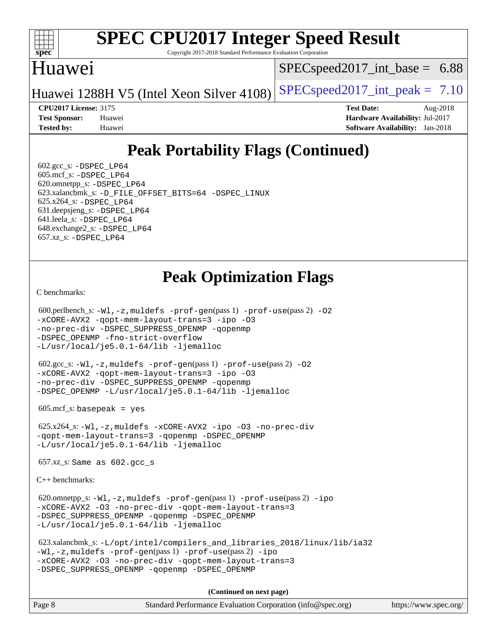

Copyright 2017-2018 Standard Performance Evaluation Corporation

### Huawei

 $SPECspeed2017\_int\_base = 6.88$ 

Huawei 1288H V5 (Intel Xeon Silver 4108) [SPECspeed2017\\_int\\_peak =](http://www.spec.org/auto/cpu2017/Docs/result-fields.html#SPECspeed2017intpeak)  $7.10$ 

**[CPU2017 License:](http://www.spec.org/auto/cpu2017/Docs/result-fields.html#CPU2017License)** 3175 **[Test Date:](http://www.spec.org/auto/cpu2017/Docs/result-fields.html#TestDate)** Aug-2018 **[Test Sponsor:](http://www.spec.org/auto/cpu2017/Docs/result-fields.html#TestSponsor)** Huawei **[Hardware Availability:](http://www.spec.org/auto/cpu2017/Docs/result-fields.html#HardwareAvailability)** Jul-2017 **[Tested by:](http://www.spec.org/auto/cpu2017/Docs/result-fields.html#Testedby)** Huawei **[Software Availability:](http://www.spec.org/auto/cpu2017/Docs/result-fields.html#SoftwareAvailability)** Jan-2018

# **[Peak Portability Flags \(Continued\)](http://www.spec.org/auto/cpu2017/Docs/result-fields.html#PeakPortabilityFlags)**

 $602.\text{gcc}\$ : -DSPEC LP64 605.mcf\_s: [-DSPEC\\_LP64](http://www.spec.org/cpu2017/results/res2018q3/cpu2017-20180808-08207.flags.html#suite_peakPORTABILITY605_mcf_s_DSPEC_LP64) 620.omnetpp\_s: [-DSPEC\\_LP64](http://www.spec.org/cpu2017/results/res2018q3/cpu2017-20180808-08207.flags.html#suite_peakPORTABILITY620_omnetpp_s_DSPEC_LP64) 623.xalancbmk\_s: [-D\\_FILE\\_OFFSET\\_BITS=64](http://www.spec.org/cpu2017/results/res2018q3/cpu2017-20180808-08207.flags.html#user_peakPORTABILITY623_xalancbmk_s_file_offset_bits_64_5ae949a99b284ddf4e95728d47cb0843d81b2eb0e18bdfe74bbf0f61d0b064f4bda2f10ea5eb90e1dcab0e84dbc592acfc5018bc955c18609f94ddb8d550002c) [-DSPEC\\_LINUX](http://www.spec.org/cpu2017/results/res2018q3/cpu2017-20180808-08207.flags.html#b623.xalancbmk_s_peakCXXPORTABILITY_DSPEC_LINUX) 625.x264\_s: [-DSPEC\\_LP64](http://www.spec.org/cpu2017/results/res2018q3/cpu2017-20180808-08207.flags.html#suite_peakPORTABILITY625_x264_s_DSPEC_LP64) 631.deepsjeng\_s: [-DSPEC\\_LP64](http://www.spec.org/cpu2017/results/res2018q3/cpu2017-20180808-08207.flags.html#suite_peakPORTABILITY631_deepsjeng_s_DSPEC_LP64) 641.leela\_s: [-DSPEC\\_LP64](http://www.spec.org/cpu2017/results/res2018q3/cpu2017-20180808-08207.flags.html#suite_peakPORTABILITY641_leela_s_DSPEC_LP64) 648.exchange2\_s: [-DSPEC\\_LP64](http://www.spec.org/cpu2017/results/res2018q3/cpu2017-20180808-08207.flags.html#suite_peakPORTABILITY648_exchange2_s_DSPEC_LP64) 657.xz\_s: [-DSPEC\\_LP64](http://www.spec.org/cpu2017/results/res2018q3/cpu2017-20180808-08207.flags.html#suite_peakPORTABILITY657_xz_s_DSPEC_LP64)

## **[Peak Optimization Flags](http://www.spec.org/auto/cpu2017/Docs/result-fields.html#PeakOptimizationFlags)**

[C benchmarks](http://www.spec.org/auto/cpu2017/Docs/result-fields.html#Cbenchmarks):

```
(info@spec.org)https://www.spec.org/
  600.perlbench_s: -Wl,-z,muldefs -prof-gen(pass 1) -prof-use(pass 2) -O2
-xCORE-AVX2 -qopt-mem-layout-trans=3 -ipo -O3
-no-prec-div -DSPEC_SUPPRESS_OPENMP -qopenmp
-DSPEC_OPENMP -fno-strict-overflow
-L/usr/local/je5.0.1-64/lib -ljemalloc
  602.gcc_s: -Wl,-z,muldefs -prof-gen(pass 1) -prof-use(pass 2) -O2
-xCORE-AVX2 -qopt-mem-layout-trans=3 -ipo -O3
-no-prec-div -DSPEC_SUPPRESS_OPENMP -qopenmp
-DSPEC_OPENMP -L/usr/local/je5.0.1-64/lib -ljemalloc
  605.mcf_s: basepeak = yes
  625.x264_s: -Wl,-z,muldefs -xCORE-AVX2 -ipo -O3 -no-prec-div
-qopt-mem-layout-trans=3 -qopenmp -DSPEC_OPENMP
-L/usr/local/je5.0.1-64/lib -ljemalloc
  657.xz_s: Same as 602.gcc_s
C++ benchmarks: 
 620.omnetpp_s:-W1, -z, muldefs -prof-qen(pass 1)-prof-use-ipo
-xCORE-AVX2 -O3 -no-prec-div -qopt-mem-layout-trans=3
-DSPEC_SUPPRESS_OPENMP -qopenmp -DSPEC_OPENMP
-L/usr/local/je5.0.1-64/lib -ljemalloc
  623.xalancbmk_s: -L/opt/intel/compilers_and_libraries_2018/linux/lib/ia32
-Wl,-z,muldefs -prof-gen(pass 1) -prof-use(pass 2) -ipo
-xCORE-AVX2 -O3 -no-prec-div -qopt-mem-layout-trans=3
-DSPEC_SUPPRESS_OPENMP -qopenmp -DSPEC_OPENMP
                                    (Continued on next page)
```